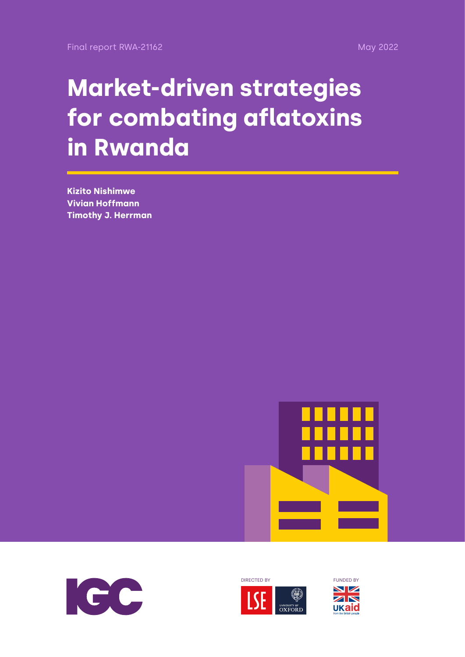# **Market-driven strategies for combating aflatoxins in Rwanda**

**Kizito Nishimwe Vivian Hoffmann Timothy J. Herrman**







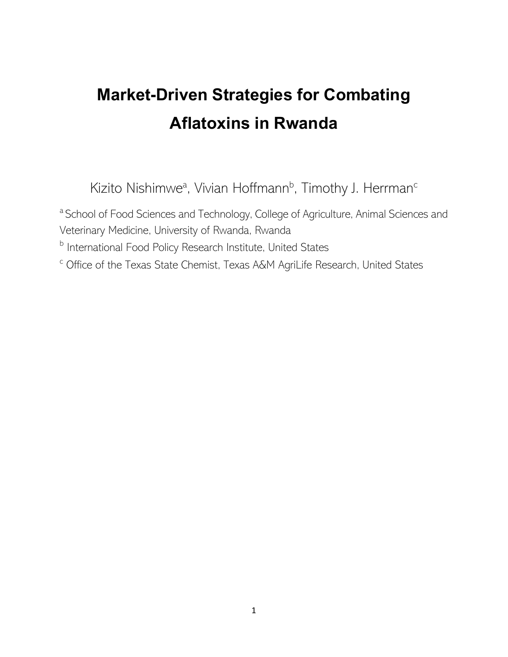# **Market-Driven Strategies for Combating Aflatoxins in Rwanda**

Kizito Nishimwe<sup>a</sup>, Vivian Hoffmann<sup>b</sup>, Timothy J. Herrman<sup>c</sup>

<sup>a</sup> School of Food Sciences and Technology, College of Agriculture, Animal Sciences and Veterinary Medicine, University of Rwanda, Rwanda

**b** International Food Policy Research Institute, United States

<sup>c</sup> Office of the Texas State Chemist, Texas A&M AgriLife Research, United States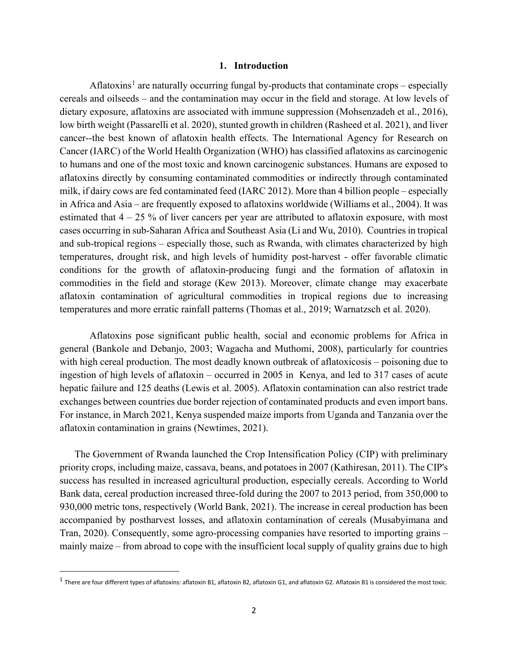#### **1. Introduction**

Aflatoxins<sup>[1](#page-2-0)</sup> are naturally occurring fungal by-products that contaminate crops – especially cereals and oilseeds – and the contamination may occur in the field and storage. At low levels of dietary exposure, aflatoxins are associated with immune suppression (Mohsenzadeh et al., 2016), low birth weight (Passarelli et al. 2020), stunted growth in children (Rasheed et al. 2021), and liver cancer--the best known of aflatoxin health effects. The International Agency for Research on Cancer (IARC) of the World Health Organization (WHO) has classified aflatoxins as carcinogenic to humans and one of the most toxic and known carcinogenic substances. Humans are exposed to aflatoxins directly by consuming contaminated commodities or indirectly through contaminated milk, if dairy cows are fed contaminated feed (IARC 2012). More than 4 billion people – especially in Africa and Asia – are frequently exposed to aflatoxins worldwide (Williams et al., 2004). It was estimated that  $4 - 25$  % of liver cancers per year are attributed to aflatoxin exposure, with most cases occurring in sub-Saharan Africa and Southeast Asia (Li and Wu, 2010). Countries in tropical and sub-tropical regions – especially those, such as Rwanda, with climates characterized by high temperatures, drought risk, and high levels of humidity post-harvest - offer favorable climatic conditions for the growth of aflatoxin-producing fungi and the formation of aflatoxin in commodities in the field and storage (Kew 2013). Moreover, climate change may exacerbate aflatoxin contamination of agricultural commodities in tropical regions due to increasing temperatures and more erratic rainfall patterns (Thomas et al., 2019; Warnatzsch et al. 2020).

Aflatoxins pose significant public health, social and economic problems for Africa in general (Bankole and Debanjo, 2003; Wagacha and Muthomi, 2008), particularly for countries with high cereal production. The most deadly known outbreak of aflatoxicosis – poisoning due to ingestion of high levels of aflatoxin – occurred in 2005 in Kenya, and led to 317 cases of acute hepatic failure and 125 deaths (Lewis et al. 2005). Aflatoxin contamination can also restrict trade exchanges between countries due border rejection of contaminated products and even import bans. For instance, in March 2021, Kenya suspended maize imports from Uganda and Tanzania over the aflatoxin contamination in grains (Newtimes, 2021).

The Government of Rwanda launched the Crop Intensification Policy (CIP) with preliminary priority crops, including maize, cassava, beans, and potatoes in 2007 (Kathiresan, 2011). The CIP's success has resulted in increased agricultural production, especially cereals. According to World Bank data, cereal production increased three-fold during the 2007 to 2013 period, from 350,000 to 930,000 metric tons, respectively (World Bank, 2021). The increase in cereal production has been accompanied by postharvest losses, and aflatoxin contamination of cereals (Musabyimana and Tran, 2020). Consequently, some agro-processing companies have resorted to importing grains – mainly maize – from abroad to cope with the insufficient local supply of quality grains due to high

<span id="page-2-0"></span> $<sup>1</sup>$  There are four different types of aflatoxins: aflatoxin B1, aflatoxin B2, aflatoxin G1, and aflatoxin G2. Aflatoxin B1 is considered the most toxic.</sup>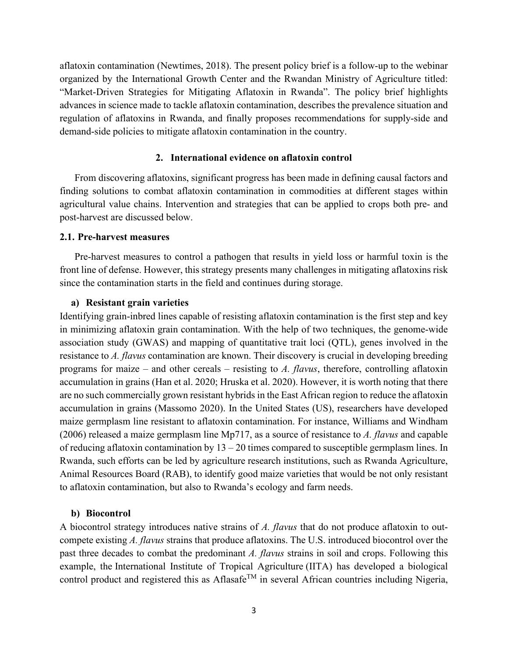aflatoxin contamination (Newtimes, 2018). The present policy brief is a follow-up to the webinar organized by the International Growth Center and the Rwandan Ministry of Agriculture titled: "Market-Driven Strategies for Mitigating Aflatoxin in Rwanda". The policy brief highlights advances in science made to tackle aflatoxin contamination, describes the prevalence situation and regulation of aflatoxins in Rwanda, and finally proposes recommendations for supply-side and demand-side policies to mitigate aflatoxin contamination in the country.

#### **2. International evidence on aflatoxin control**

From discovering aflatoxins, significant progress has been made in defining causal factors and finding solutions to combat aflatoxin contamination in commodities at different stages within agricultural value chains. Intervention and strategies that can be applied to crops both pre- and post-harvest are discussed below.

#### **2.1. Pre-harvest measures**

Pre-harvest measures to control a pathogen that results in yield loss or harmful toxin is the front line of defense. However, this strategy presents many challenges in mitigating aflatoxins risk since the contamination starts in the field and continues during storage.

#### **a) Resistant grain varieties**

Identifying grain-inbred lines capable of resisting aflatoxin contamination is the first step and key in minimizing aflatoxin grain contamination. With the help of two techniques, the genome-wide association study (GWAS) and mapping of quantitative trait loci (QTL), genes involved in the resistance to *A. flavus* contamination are known. Their discovery is crucial in developing breeding programs for maize – and other cereals – resisting to *A. flavus*, therefore, controlling aflatoxin accumulation in grains (Han et al. 2020; Hruska et al. 2020). However, it is worth noting that there are no such commercially grown resistant hybrids in the East African region to reduce the aflatoxin accumulation in grains (Massomo 2020). In the United States (US), researchers have developed maize germplasm line resistant to aflatoxin contamination. For instance, Williams and Windham (2006) released a maize germplasm line Mp717, as a source of resistance to *A. flavus* and capable of reducing aflatoxin contamination by  $13 - 20$  times compared to susceptible germplasm lines. In Rwanda, such efforts can be led by agriculture research institutions, such as Rwanda Agriculture, Animal Resources Board (RAB), to identify good maize varieties that would be not only resistant to aflatoxin contamination, but also to Rwanda's ecology and farm needs.

#### **b) Biocontrol**

A biocontrol strategy introduces native strains of *A. flavus* that do not produce aflatoxin to outcompete existing *A. flavus* strains that produce aflatoxins. The U.S. introduced biocontrol over the past three decades to combat the predominant *A. flavus* strains in soil and crops. Following this example, the International Institute of Tropical Agriculture (IITA) has developed a biological control product and registered this as Aflasafe<sup>TM</sup> in several African countries including Nigeria,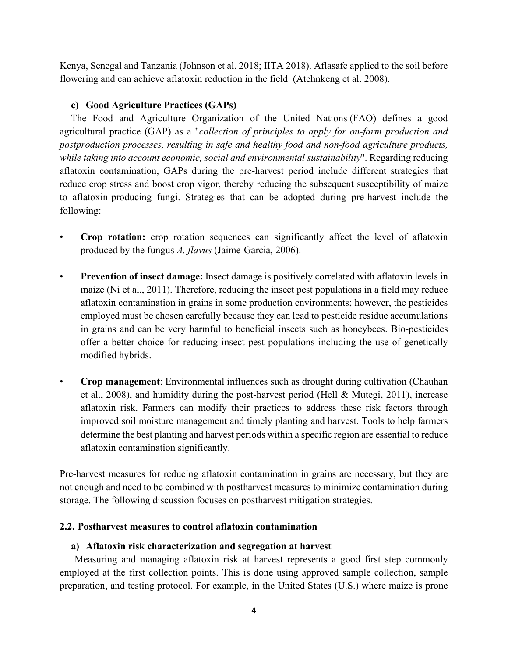Kenya, Senegal and Tanzania (Johnson et al. 2018; IITA 2018). Aflasafe applied to the soil before flowering and can achieve aflatoxin reduction in the field (Atehnkeng et al. 2008).

# **c) Good Agriculture Practices (GAPs)**

The Food and Agriculture Organization of the United Nations (FAO) defines a good agricultural practice (GAP) as a "*collection of principles to apply for on-farm production and postproduction processes, resulting in safe and healthy food and non-food agriculture products, while taking into account economic, social and environmental sustainability*". Regarding reducing aflatoxin contamination, GAPs during the pre-harvest period include different strategies that reduce crop stress and boost crop vigor, thereby reducing the subsequent susceptibility of maize to aflatoxin-producing fungi. Strategies that can be adopted during pre-harvest include the following:

- **Crop rotation:** crop rotation sequences can significantly affect the level of aflatoxin produced by the fungus *A. flavus* (Jaime-Garcia, 2006).
- **Prevention of insect damage:** Insect damage is positively correlated with aflatoxin levels in maize (Ni et al., 2011). Therefore, reducing the insect pest populations in a field may reduce aflatoxin contamination in grains in some production environments; however, the pesticides employed must be chosen carefully because they can lead to pesticide residue accumulations in grains and can be very harmful to beneficial insects such as honeybees. Bio-pesticides offer a better choice for reducing insect pest populations including the use of genetically modified hybrids.
- **Crop management**: Environmental influences such as drought during cultivation (Chauhan et al., 2008), and humidity during the post-harvest period (Hell & Mutegi, 2011), increase aflatoxin risk. Farmers can modify their practices to address these risk factors through improved soil moisture management and timely planting and harvest. Tools to help farmers determine the best planting and harvest periods within a specific region are essential to reduce aflatoxin contamination significantly.

Pre-harvest measures for reducing aflatoxin contamination in grains are necessary, but they are not enough and need to be combined with postharvest measures to minimize contamination during storage. The following discussion focuses on postharvest mitigation strategies.

# **2.2. Postharvest measures to control aflatoxin contamination**

# **a) Aflatoxin risk characterization and segregation at harvest**

Measuring and managing aflatoxin risk at harvest represents a good first step commonly employed at the first collection points. This is done using approved sample collection, sample preparation, and testing protocol. For example, in the United States (U.S.) where maize is prone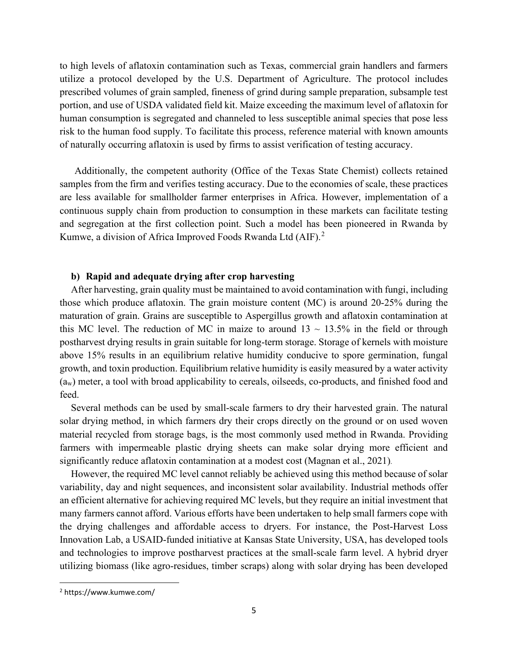to high levels of aflatoxin contamination such as Texas, commercial grain handlers and farmers utilize a protocol developed by the U.S. Department of Agriculture. The protocol includes prescribed volumes of grain sampled, fineness of grind during sample preparation, subsample test portion, and use of USDA validated field kit. Maize exceeding the maximum level of aflatoxin for human consumption is segregated and channeled to less susceptible animal species that pose less risk to the human food supply. To facilitate this process, reference material with known amounts of naturally occurring aflatoxin is used by firms to assist verification of testing accuracy.

Additionally, the competent authority (Office of the Texas State Chemist) collects retained samples from the firm and verifies testing accuracy. Due to the economies of scale, these practices are less available for smallholder farmer enterprises in Africa. However, implementation of a continuous supply chain from production to consumption in these markets can facilitate testing and segregation at the first collection point. Such a model has been pioneered in Rwanda by Kumwe, a division of Africa Improved Foods Rwanda Ltd (AIF).<sup>[2](#page-5-0)</sup>

#### **b) Rapid and adequate drying after crop harvesting**

After harvesting, grain quality must be maintained to avoid contamination with fungi, including those which produce aflatoxin. The grain moisture content (MC) is around 20-25% during the maturation of grain. Grains are susceptible to Aspergillus growth and aflatoxin contamination at this MC level. The reduction of MC in maize to around  $13 \sim 13.5\%$  in the field or through postharvest drying results in grain suitable for long-term storage. Storage of kernels with moisture above 15% results in an equilibrium relative humidity conducive to spore germination, fungal growth, and toxin production. Equilibrium relative humidity is easily measured by a water activity (aw) meter, a tool with broad applicability to cereals, oilseeds, co-products, and finished food and feed.

Several methods can be used by small-scale farmers to dry their harvested grain. The natural solar drying method, in which farmers dry their crops directly on the ground or on used woven material recycled from storage bags, is the most commonly used method in Rwanda. Providing farmers with impermeable plastic drying sheets can make solar drying more efficient and significantly reduce aflatoxin contamination at a modest cost (Magnan et al., 2021).

However, the required MC level cannot reliably be achieved using this method because of solar variability, day and night sequences, and inconsistent solar availability. Industrial methods offer an efficient alternative for achieving required MC levels, but they require an initial investment that many farmers cannot afford. Various efforts have been undertaken to help small farmers cope with the drying challenges and affordable access to dryers. For instance, the Post-Harvest Loss Innovation Lab, a USAID-funded initiative at Kansas State University, USA, has developed tools and technologies to improve postharvest practices at the small-scale farm level. A hybrid dryer utilizing biomass (like agro-residues, timber scraps) along with solar drying has been developed

<span id="page-5-0"></span><sup>2</sup> https://www.kumwe.com/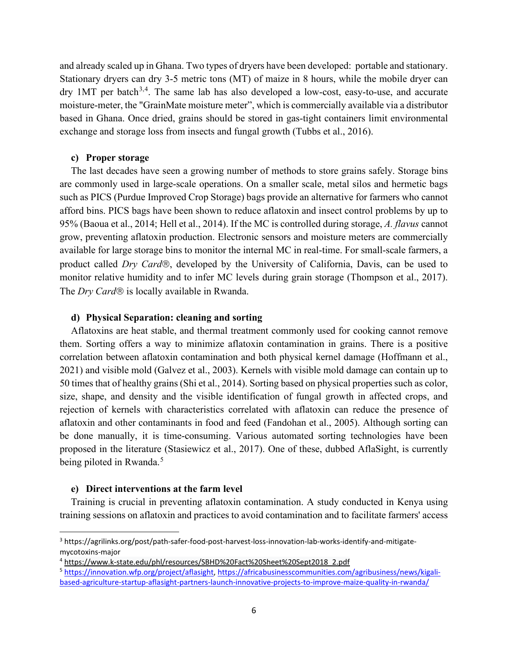and already scaled up in Ghana. Two types of dryers have been developed: portable and stationary. Stationary dryers can dry 3-5 metric tons (MT) of maize in 8 hours, while the mobile dryer can dry 1MT per batch<sup>[3,](#page-6-0)[4](#page-6-1)</sup>. The same lab has also developed a low-cost, easy-to-use, and accurate moisture-meter, the "GrainMate moisture meter", which is commercially available via a distributor based in Ghana. Once dried, grains should be stored in gas-tight containers limit environmental exchange and storage loss from insects and fungal growth (Tubbs et al., 2016).

#### **c) Proper storage**

The last decades have seen a growing number of methods to store grains safely. Storage bins are commonly used in large-scale operations. On a smaller scale, metal silos and hermetic bags such as PICS (Purdue Improved Crop Storage) bags provide an alternative for farmers who cannot afford bins. PICS bags have been shown to reduce aflatoxin and insect control problems by up to 95% (Baoua et al., 2014; Hell et al., 2014). If the MC is controlled during storage, *A. flavus* cannot grow, preventing aflatoxin production. Electronic sensors and moisture meters are commercially available for large storage bins to monitor the internal MC in real-time. For small-scale farmers, a product called *Dry Card*, developed by the University of California, Davis, can be used to monitor relative humidity and to infer MC levels during grain storage (Thompson et al., 2017). The *Dry Card*<sup>®</sup> is locally available in Rwanda.

#### **d) Physical Separation: cleaning and sorting**

Aflatoxins are heat stable, and thermal treatment commonly used for cooking cannot remove them. Sorting offers a way to minimize aflatoxin contamination in grains. There is a positive correlation between aflatoxin contamination and both physical kernel damage (Hoffmann et al., 2021) and visible mold (Galvez et al., 2003). Kernels with visible mold damage can contain up to 50 times that of healthy grains (Shi et al., 2014). Sorting based on physical properties such as color, size, shape, and density and the visible identification of fungal growth in affected crops, and rejection of kernels with characteristics correlated with aflatoxin can reduce the presence of aflatoxin and other contaminants in food and feed (Fandohan et al., 2005). Although sorting can be done manually, it is time-consuming. Various automated sorting technologies have been proposed in the literature (Stasiewicz et al., 2017). One of these, dubbed AflaSight, is currently being piloted in Rwanda.<sup>[5](#page-6-2)</sup>

#### **e) Direct interventions at the farm level**

Training is crucial in preventing aflatoxin contamination. A study conducted in Kenya using training sessions on aflatoxin and practices to avoid contamination and to facilitate farmers' access

<span id="page-6-0"></span><sup>3</sup> https://agrilinks.org/post/path-safer-food-post-harvest-loss-innovation-lab-works-identify-and-mitigatemycotoxins-major

<span id="page-6-1"></span><sup>4</sup> [https://www.k-state.edu/phl/resources/SBHD%20Fact%20Sheet%20Sept2018\\_2.pdf](https://www.k-state.edu/phl/resources/SBHD%20Fact%20Sheet%20Sept2018_2.pdf)

<span id="page-6-2"></span><sup>5</sup> [https://innovation.wfp.org/project/aflasight,](https://innovation.wfp.org/project/aflasight) [https://africabusinesscommunities.com/agribusiness/news/kigali](https://africabusinesscommunities.com/agribusiness/news/kigali-based-agriculture-startup-aflasight-partners-launch-innovative-projects-to-improve-maize-quality-in-rwanda/)[based-agriculture-startup-aflasight-partners-launch-innovative-projects-to-improve-maize-quality-in-rwanda/](https://africabusinesscommunities.com/agribusiness/news/kigali-based-agriculture-startup-aflasight-partners-launch-innovative-projects-to-improve-maize-quality-in-rwanda/)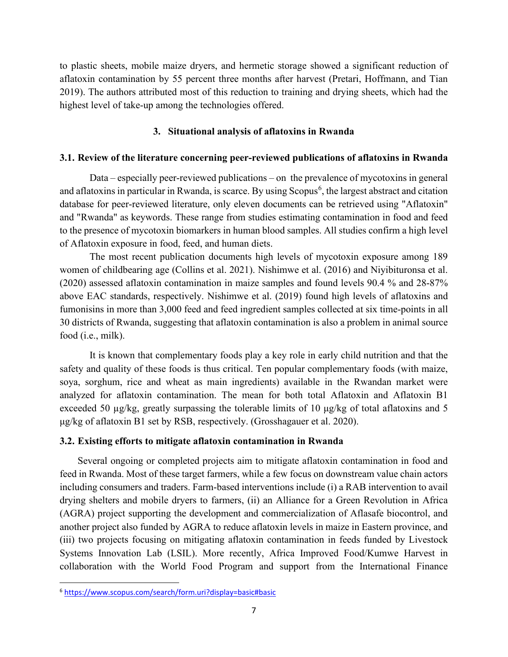to plastic sheets, mobile maize dryers, and hermetic storage showed a significant reduction of aflatoxin contamination by 55 percent three months after harvest (Pretari, Hoffmann, and Tian 2019). The authors attributed most of this reduction to training and drying sheets, which had the highest level of take-up among the technologies offered.

# **3. Situational analysis of aflatoxins in Rwanda**

# **3.1. Review of the literature concerning peer-reviewed publications of aflatoxins in Rwanda**

Data – especially peer-reviewed publications – on the prevalence of mycotoxins in general and aflatoxins in particular in Rwanda, is scarce. By using Scopus<sup>[6](#page-7-0)</sup>, the largest abstract and citation database for peer-reviewed literature, only eleven documents can be retrieved using "Aflatoxin" and "Rwanda" as keywords. These range from studies estimating contamination in food and feed to the presence of mycotoxin biomarkers in human blood samples. All studies confirm a high level of Aflatoxin exposure in food, feed, and human diets.

The most recent publication documents high levels of mycotoxin exposure among 189 women of childbearing age (Collins et al. 2021). Nishimwe et al. (2016) and Niyibituronsa et al. (2020) assessed aflatoxin contamination in maize samples and found levels 90.4 % and 28-87% above EAC standards, respectively. Nishimwe et al. (2019) found high levels of aflatoxins and fumonisins in more than 3,000 feed and feed ingredient samples collected at six time-points in all 30 districts of Rwanda, suggesting that aflatoxin contamination is also a problem in animal source food (i.e., milk).

It is known that complementary foods play a key role in early child nutrition and that the safety and quality of these foods is thus critical. Ten popular complementary foods (with maize, soya, sorghum, rice and wheat as main ingredients) available in the Rwandan market were analyzed for aflatoxin contamination. The mean for both total Aflatoxin and Aflatoxin B1 exceeded 50 µg/kg, greatly surpassing the tolerable limits of 10 μg/kg of total aflatoxins and 5 μg/kg of aflatoxin B1 set by RSB, respectively. (Grosshagauer et al. 2020).

# **3.2. Existing efforts to mitigate aflatoxin contamination in Rwanda**

Several ongoing or completed projects aim to mitigate aflatoxin contamination in food and feed in Rwanda. Most of these target farmers, while a few focus on downstream value chain actors including consumers and traders. Farm-based interventions include (i) a RAB intervention to avail drying shelters and mobile dryers to farmers, (ii) an Alliance for a Green Revolution in Africa (AGRA) project supporting the development and commercialization of Aflasafe biocontrol, and another project also funded by AGRA to reduce aflatoxin levels in maize in Eastern province, and (iii) two projects focusing on mitigating aflatoxin contamination in feeds funded by Livestock Systems Innovation Lab (LSIL). More recently, Africa Improved Food/Kumwe Harvest in collaboration with the World Food Program and support from the International Finance

<span id="page-7-0"></span><sup>6</sup> <https://www.scopus.com/search/form.uri?display=basic#basic>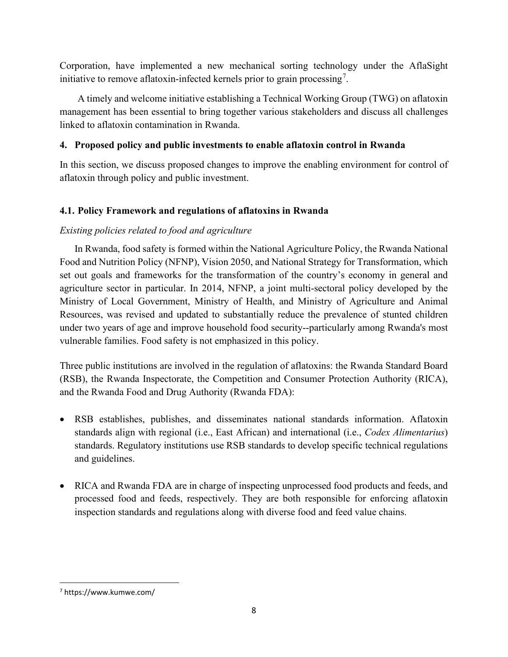Corporation, have implemented a new mechanical sorting technology under the AflaSight initiative to remove aflatoxin-infected kernels prior to grain processing<sup>[7](#page-8-0)</sup>.

A timely and welcome initiative establishing a Technical Working Group (TWG) on aflatoxin management has been essential to bring together various stakeholders and discuss all challenges linked to aflatoxin contamination in Rwanda.

# **4. Proposed policy and public investments to enable aflatoxin control in Rwanda**

In this section, we discuss proposed changes to improve the enabling environment for control of aflatoxin through policy and public investment.

# **4.1. Policy Framework and regulations of aflatoxins in Rwanda**

# *Existing policies related to food and agriculture*

In Rwanda, food safety is formed within the National Agriculture Policy, the Rwanda National Food and Nutrition Policy (NFNP), Vision 2050, and National Strategy for Transformation, which set out goals and frameworks for the transformation of the country's economy in general and agriculture sector in particular. In 2014, NFNP, a joint multi-sectoral policy developed by the Ministry of Local Government, Ministry of Health, and Ministry of Agriculture and Animal Resources, was revised and updated to substantially reduce the prevalence of stunted children under two years of age and improve household food security--particularly among Rwanda's most vulnerable families. Food safety is not emphasized in this policy.

Three public institutions are involved in the regulation of aflatoxins: the Rwanda Standard Board (RSB), the Rwanda Inspectorate, the Competition and Consumer Protection Authority (RICA), and the Rwanda Food and Drug Authority (Rwanda FDA):

- RSB establishes, publishes, and disseminates national standards information. Aflatoxin standards align with regional (i.e., East African) and international (i.e., *Codex Alimentarius*) standards. Regulatory institutions use RSB standards to develop specific technical regulations and guidelines.
- RICA and Rwanda FDA are in charge of inspecting unprocessed food products and feeds, and processed food and feeds, respectively. They are both responsible for enforcing aflatoxin inspection standards and regulations along with diverse food and feed value chains.

<span id="page-8-0"></span><sup>7</sup> https://www.kumwe.com/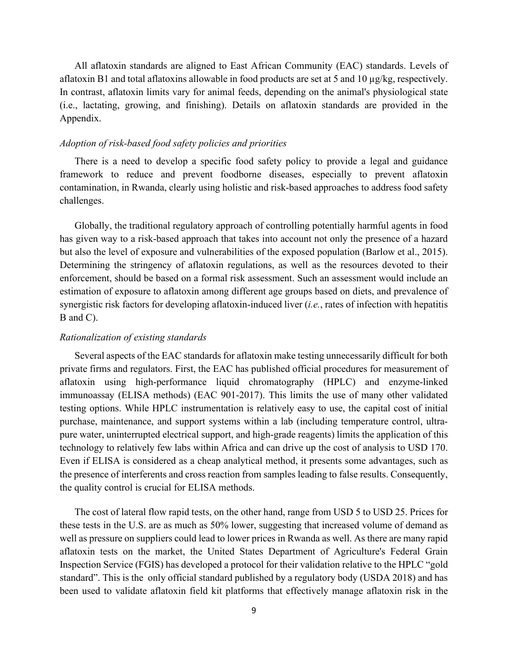All aflatoxin standards are aligned to East African Community (EAC) standards. Levels of aflatoxin B1 and total aflatoxins allowable in food products are set at 5 and 10  $\mu$ g/kg, respectively. In contrast, aflatoxin limits vary for animal feeds, depending on the animal's physiological state (i.e., lactating, growing, and finishing). Details on aflatoxin standards are provided in the Appendix.

#### *Adoption of risk-based food safety policies and priorities*

There is a need to develop a specific food safety policy to provide a legal and guidance framework to reduce and prevent foodborne diseases, especially to prevent aflatoxin contamination, in Rwanda, clearly using holistic and risk-based approaches to address food safety challenges.

Globally, the traditional regulatory approach of controlling potentially harmful agents in food has given way to a risk-based approach that takes into account not only the presence of a hazard but also the level of exposure and vulnerabilities of the exposed population (Barlow et al., 2015). Determining the stringency of aflatoxin regulations, as well as the resources devoted to their enforcement, should be based on a formal risk assessment. Such an assessment would include an estimation of exposure to aflatoxin among different age groups based on diets, and prevalence of synergistic risk factors for developing aflatoxin-induced liver (*i.e.*, rates of infection with hepatitis B and C).

#### *Rationalization of existing standards*

Several aspects of the EAC standards for aflatoxin make testing unnecessarily difficult for both private firms and regulators. First, the EAC has published official procedures for measurement of aflatoxin using high-performance liquid chromatography (HPLC) and enzyme-linked immunoassay (ELISA methods) (EAC 901-2017). This limits the use of many other validated testing options. While HPLC instrumentation is relatively easy to use, the capital cost of initial purchase, maintenance, and support systems within a lab (including temperature control, ultrapure water, uninterrupted electrical support, and high-grade reagents) limits the application of this technology to relatively few labs within Africa and can drive up the cost of analysis to USD 170. Even if ELISA is considered as a cheap analytical method, it presents some advantages, such as the presence of interferents and cross reaction from samples leading to false results. Consequently, the quality control is crucial for ELISA methods.

The cost of lateral flow rapid tests, on the other hand, range from USD 5 to USD 25. Prices for these tests in the U.S. are as much as 50% lower, suggesting that increased volume of demand as well as pressure on suppliers could lead to lower prices in Rwanda as well. As there are many rapid aflatoxin tests on the market, the United States Department of Agriculture's Federal Grain Inspection Service (FGIS) has developed a protocol for their validation relative to the HPLC "gold standard". This is the only official standard published by a regulatory body (USDA 2018) and has been used to validate aflatoxin field kit platforms that effectively manage aflatoxin risk in the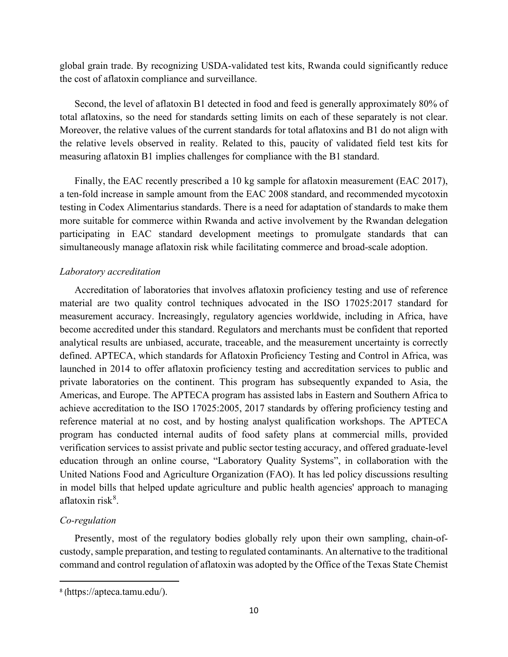global grain trade. By recognizing USDA-validated test kits, Rwanda could significantly reduce the cost of aflatoxin compliance and surveillance.

Second, the level of aflatoxin B1 detected in food and feed is generally approximately 80% of total aflatoxins, so the need for standards setting limits on each of these separately is not clear. Moreover, the relative values of the current standards for total aflatoxins and B1 do not align with the relative levels observed in reality. Related to this, paucity of validated field test kits for measuring aflatoxin B1 implies challenges for compliance with the B1 standard.

Finally, the EAC recently prescribed a 10 kg sample for aflatoxin measurement (EAC 2017), a ten-fold increase in sample amount from the EAC 2008 standard, and recommended mycotoxin testing in Codex Alimentarius standards. There is a need for adaptation of standards to make them more suitable for commerce within Rwanda and active involvement by the Rwandan delegation participating in EAC standard development meetings to promulgate standards that can simultaneously manage aflatoxin risk while facilitating commerce and broad-scale adoption.

# *Laboratory accreditation*

Accreditation of laboratories that involves aflatoxin proficiency testing and use of reference material are two quality control techniques advocated in the ISO 17025:2017 standard for measurement accuracy. Increasingly, regulatory agencies worldwide, including in Africa, have become accredited under this standard. Regulators and merchants must be confident that reported analytical results are unbiased, accurate, traceable, and the measurement uncertainty is correctly defined. APTECA, which standards for Aflatoxin Proficiency Testing and Control in Africa, was launched in 2014 to offer aflatoxin proficiency testing and accreditation services to public and private laboratories on the continent. This program has subsequently expanded to Asia, the Americas, and Europe. The APTECA program has assisted labs in Eastern and Southern Africa to achieve accreditation to the ISO 17025:2005, 2017 standards by offering proficiency testing and reference material at no cost, and by hosting analyst qualification workshops. The APTECA program has conducted internal audits of food safety plans at commercial mills, provided verification services to assist private and public sector testing accuracy, and offered graduate-level education through an online course, "Laboratory Quality Systems", in collaboration with the United Nations Food and Agriculture Organization (FAO). It has led policy discussions resulting in model bills that helped update agriculture and public health agencies' approach to managing aflatoxin risk<sup>[8](#page-10-0)</sup>.

# *Co-regulation*

Presently, most of the regulatory bodies globally rely upon their own sampling, chain-ofcustody, sample preparation, and testing to regulated contaminants. An alternative to the traditional command and control regulation of aflatoxin was adopted by the Office of the Texas State Chemist

<span id="page-10-0"></span><sup>8</sup> (https://apteca.tamu.edu/).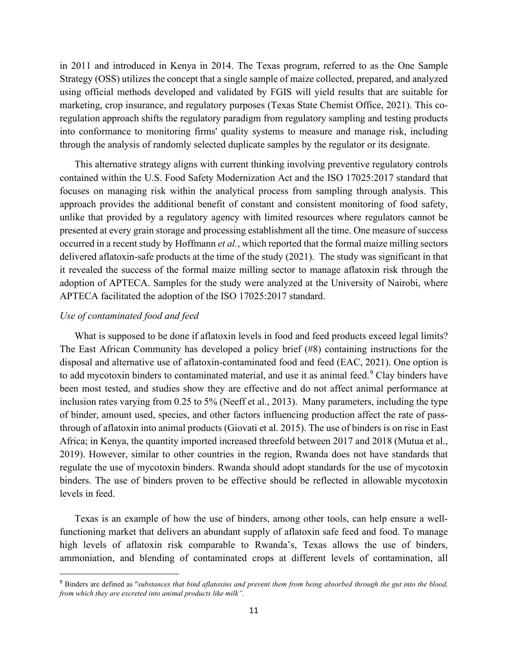in 2011 and introduced in Kenya in 2014. The Texas program, referred to as the One Sample Strategy (OSS) utilizes the concept that a single sample of maize collected, prepared, and analyzed using official methods developed and validated by FGIS will yield results that are suitable for marketing, crop insurance, and regulatory purposes (Texas State Chemist Office, 2021). This coregulation approach shifts the regulatory paradigm from regulatory sampling and testing products into conformance to monitoring firms' quality systems to measure and manage risk, including through the analysis of randomly selected duplicate samples by the regulator or its designate.

This alternative strategy aligns with current thinking involving preventive regulatory controls contained within the U.S. Food Safety Modernization Act and the ISO 17025:2017 standard that focuses on managing risk within the analytical process from sampling through analysis. This approach provides the additional benefit of constant and consistent monitoring of food safety, unlike that provided by a regulatory agency with limited resources where regulators cannot be presented at every grain storage and processing establishment all the time. One measure of success occurred in a recent study by Hoffmann *et al.*, which reported that the formal maize milling sectors delivered aflatoxin-safe products at the time of the study (2021). The study was significant in that it revealed the success of the formal maize milling sector to manage aflatoxin risk through the adoption of APTECA. Samples for the study were analyzed at the University of Nairobi, where APTECA facilitated the adoption of the ISO 17025:2017 standard.

### *Use of contaminated food and feed*

What is supposed to be done if aflatoxin levels in food and feed products exceed legal limits? The East African Community has developed a policy brief (#8) containing instructions for the disposal and alternative use of aflatoxin-contaminated food and feed (EAC, 2021). One option is to add mycotoxin binders to contaminated material, and use it as animal feed.<sup>[9](#page-11-0)</sup> Clay binders have been most tested, and studies show they are effective and do not affect animal performance at inclusion rates varying from 0.25 to 5% (Neeff et al., 2013). Many parameters, including the type of binder, amount used, species, and other factors influencing production affect the rate of passthrough of aflatoxin into animal products (Giovati et al. 2015). The use of binders is on rise in East Africa; in Kenya, the quantity imported increased threefold between 2017 and 2018 (Mutua et al., 2019). However, similar to other countries in the region, Rwanda does not have standards that regulate the use of mycotoxin binders. Rwanda should adopt standards for the use of mycotoxin binders. The use of binders proven to be effective should be reflected in allowable mycotoxin levels in feed.

Texas is an example of how the use of binders, among other tools, can help ensure a wellfunctioning market that delivers an abundant supply of aflatoxin safe feed and food. To manage high levels of aflatoxin risk comparable to Rwanda's, Texas allows the use of binders, ammoniation, and blending of contaminated crops at different levels of contamination, all

<span id="page-11-0"></span><sup>9</sup> Binders are defined as "*substances that bind aflatoxins and prevent them from being absorbed through the gut into the blood, from which they are excreted into animal products like milk".*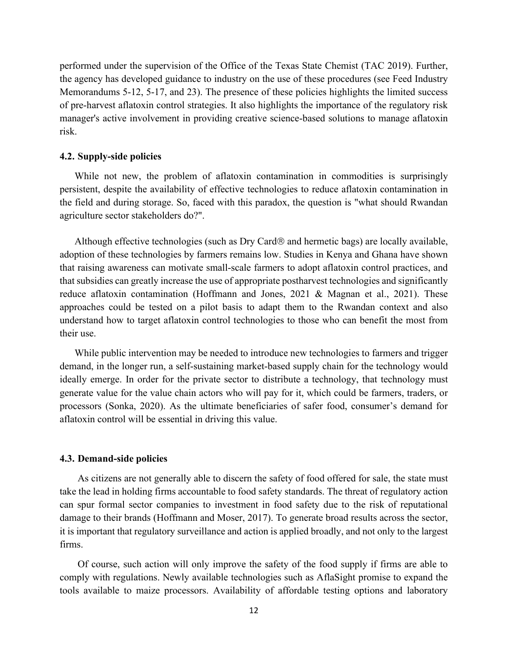performed under the supervision of the Office of the Texas State Chemist (TAC 2019). Further, the agency has developed guidance to industry on the use of these procedures (see Feed Industry Memorandums 5-12, 5-17, and 23). The presence of these policies highlights the limited success of pre-harvest aflatoxin control strategies. It also highlights the importance of the regulatory risk manager's active involvement in providing creative science-based solutions to manage aflatoxin risk.

#### **4.2. Supply-side policies**

While not new, the problem of aflatoxin contamination in commodities is surprisingly persistent, despite the availability of effective technologies to reduce aflatoxin contamination in the field and during storage. So, faced with this paradox, the question is "what should Rwandan agriculture sector stakeholders do?".

Although effective technologies (such as Dry Card® and hermetic bags) are locally available, adoption of these technologies by farmers remains low. Studies in Kenya and Ghana have shown that raising awareness can motivate small-scale farmers to adopt aflatoxin control practices, and that subsidies can greatly increase the use of appropriate postharvest technologies and significantly reduce aflatoxin contamination (Hoffmann and Jones, 2021 & Magnan et al., 2021). These approaches could be tested on a pilot basis to adapt them to the Rwandan context and also understand how to target aflatoxin control technologies to those who can benefit the most from their use.

While public intervention may be needed to introduce new technologies to farmers and trigger demand, in the longer run, a self-sustaining market-based supply chain for the technology would ideally emerge. In order for the private sector to distribute a technology, that technology must generate value for the value chain actors who will pay for it, which could be farmers, traders, or processors (Sonka, 2020). As the ultimate beneficiaries of safer food, consumer's demand for aflatoxin control will be essential in driving this value.

#### **4.3. Demand-side policies**

As citizens are not generally able to discern the safety of food offered for sale, the state must take the lead in holding firms accountable to food safety standards. The threat of regulatory action can spur formal sector companies to investment in food safety due to the risk of reputational damage to their brands (Hoffmann and Moser, 2017). To generate broad results across the sector, it is important that regulatory surveillance and action is applied broadly, and not only to the largest firms.

Of course, such action will only improve the safety of the food supply if firms are able to comply with regulations. Newly available technologies such as AflaSight promise to expand the tools available to maize processors. Availability of affordable testing options and laboratory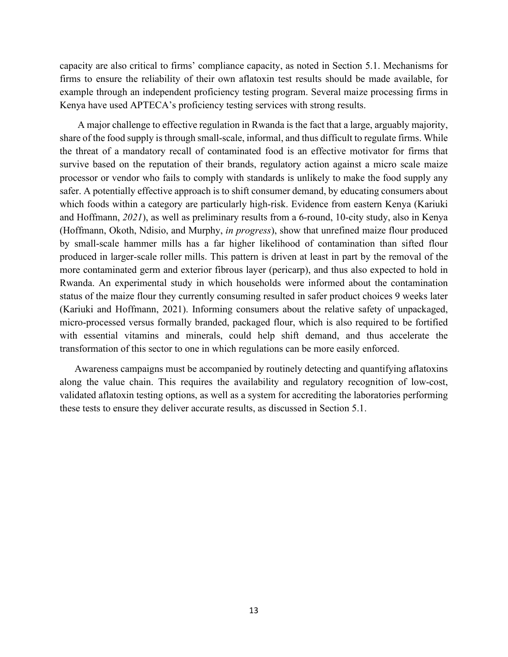capacity are also critical to firms' compliance capacity, as noted in Section 5.1. Mechanisms for firms to ensure the reliability of their own aflatoxin test results should be made available, for example through an independent proficiency testing program. Several maize processing firms in Kenya have used APTECA's proficiency testing services with strong results.

A major challenge to effective regulation in Rwanda is the fact that a large, arguably majority, share of the food supply is through small-scale, informal, and thus difficult to regulate firms. While the threat of a mandatory recall of contaminated food is an effective motivator for firms that survive based on the reputation of their brands, regulatory action against a micro scale maize processor or vendor who fails to comply with standards is unlikely to make the food supply any safer. A potentially effective approach is to shift consumer demand, by educating consumers about which foods within a category are particularly high-risk. Evidence from eastern Kenya (Kariuki and Hoffmann, *2021*), as well as preliminary results from a 6-round, 10-city study, also in Kenya (Hoffmann, Okoth, Ndisio, and Murphy, *in progress*), show that unrefined maize flour produced by small-scale hammer mills has a far higher likelihood of contamination than sifted flour produced in larger-scale roller mills. This pattern is driven at least in part by the removal of the more contaminated germ and exterior fibrous layer (pericarp), and thus also expected to hold in Rwanda. An experimental study in which households were informed about the contamination status of the maize flour they currently consuming resulted in safer product choices 9 weeks later (Kariuki and Hoffmann, 2021). Informing consumers about the relative safety of unpackaged, micro-processed versus formally branded, packaged flour, which is also required to be fortified with essential vitamins and minerals, could help shift demand, and thus accelerate the transformation of this sector to one in which regulations can be more easily enforced.

Awareness campaigns must be accompanied by routinely detecting and quantifying aflatoxins along the value chain. This requires the availability and regulatory recognition of low-cost, validated aflatoxin testing options, as well as a system for accrediting the laboratories performing these tests to ensure they deliver accurate results, as discussed in Section 5.1.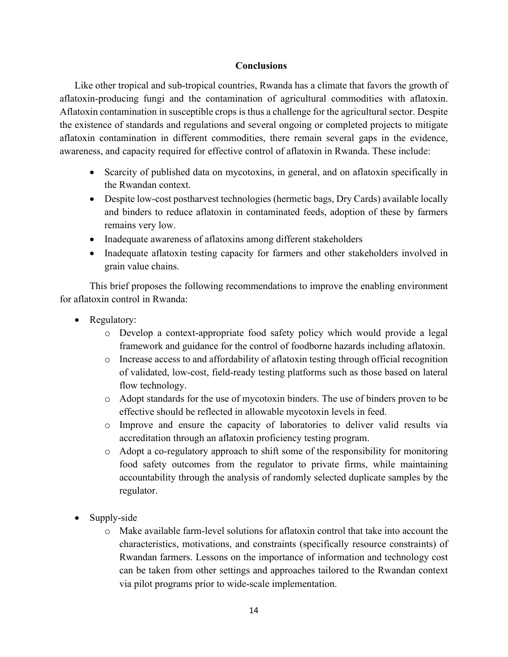# **Conclusions**

Like other tropical and sub-tropical countries, Rwanda has a climate that favors the growth of aflatoxin-producing fungi and the contamination of agricultural commodities with aflatoxin. Aflatoxin contamination in susceptible crops is thus a challenge for the agricultural sector. Despite the existence of standards and regulations and several ongoing or completed projects to mitigate aflatoxin contamination in different commodities, there remain several gaps in the evidence, awareness, and capacity required for effective control of aflatoxin in Rwanda. These include:

- Scarcity of published data on mycotoxins, in general, and on aflatoxin specifically in the Rwandan context.
- Despite low-cost postharvest technologies (hermetic bags, Dry Cards) available locally and binders to reduce aflatoxin in contaminated feeds, adoption of these by farmers remains very low.
- Inadequate awareness of aflatoxins among different stakeholders
- Inadequate aflatoxin testing capacity for farmers and other stakeholders involved in grain value chains.

 This brief proposes the following recommendations to improve the enabling environment for aflatoxin control in Rwanda:

- Regulatory:
	- o Develop a context-appropriate food safety policy which would provide a legal framework and guidance for the control of foodborne hazards including aflatoxin.
	- o Increase access to and affordability of aflatoxin testing through official recognition of validated, low-cost, field-ready testing platforms such as those based on lateral flow technology.
	- o Adopt standards for the use of mycotoxin binders. The use of binders proven to be effective should be reflected in allowable mycotoxin levels in feed.
	- o Improve and ensure the capacity of laboratories to deliver valid results via accreditation through an aflatoxin proficiency testing program.
	- o Adopt a co-regulatory approach to shift some of the responsibility for monitoring food safety outcomes from the regulator to private firms, while maintaining accountability through the analysis of randomly selected duplicate samples by the regulator.
- Supply-side
	- o Make available farm-level solutions for aflatoxin control that take into account the characteristics, motivations, and constraints (specifically resource constraints) of Rwandan farmers. Lessons on the importance of information and technology cost can be taken from other settings and approaches tailored to the Rwandan context via pilot programs prior to wide-scale implementation.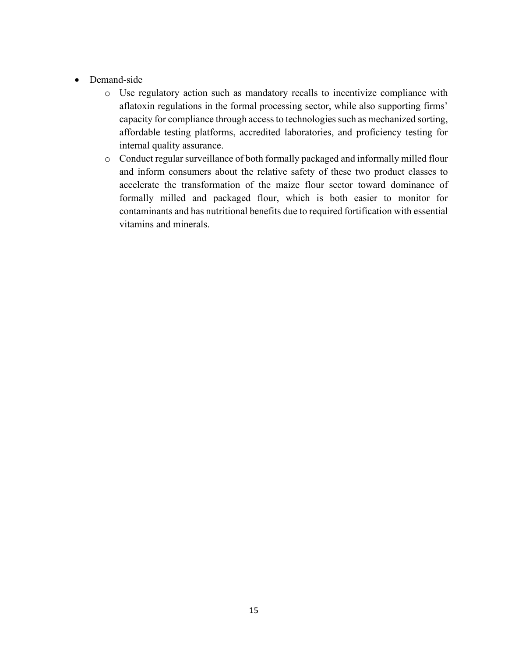- Demand-side
	- o Use regulatory action such as mandatory recalls to incentivize compliance with aflatoxin regulations in the formal processing sector, while also supporting firms' capacity for compliance through access to technologies such as mechanized sorting, affordable testing platforms, accredited laboratories, and proficiency testing for internal quality assurance.
	- o Conduct regular surveillance of both formally packaged and informally milled flour and inform consumers about the relative safety of these two product classes to accelerate the transformation of the maize flour sector toward dominance of formally milled and packaged flour, which is both easier to monitor for contaminants and has nutritional benefits due to required fortification with essential vitamins and minerals.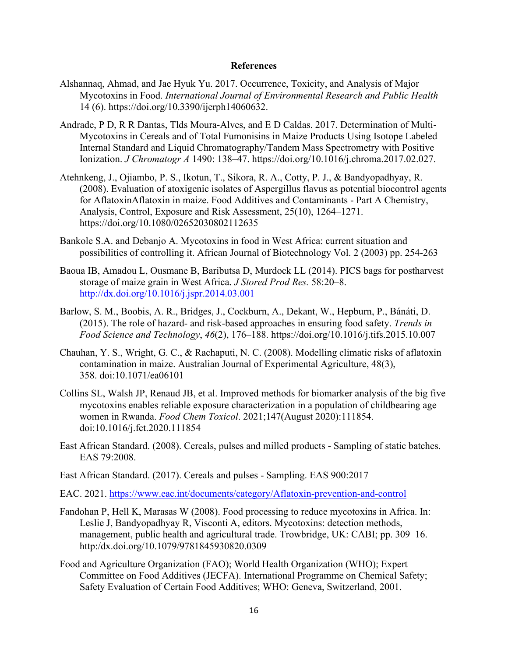#### **References**

- Alshannaq, Ahmad, and Jae Hyuk Yu. 2017. Occurrence, Toxicity, and Analysis of Major Mycotoxins in Food. *International Journal of Environmental Research and Public Health* 14 (6). https://doi.org/10.3390/ijerph14060632.
- Andrade, P D, R R Dantas, Tlds Moura-Alves, and E D Caldas. 2017. Determination of Multi-Mycotoxins in Cereals and of Total Fumonisins in Maize Products Using Isotope Labeled Internal Standard and Liquid Chromatography/Tandem Mass Spectrometry with Positive Ionization. *J Chromatogr A* 1490: 138–47. https://doi.org/10.1016/j.chroma.2017.02.027.
- Atehnkeng, J., Ojiambo, P. S., Ikotun, T., Sikora, R. A., Cotty, P. J., & Bandyopadhyay, R. (2008). Evaluation of atoxigenic isolates of Aspergillus flavus as potential biocontrol agents for AflatoxinAflatoxin in maize. Food Additives and Contaminants - Part A Chemistry, Analysis, Control, Exposure and Risk Assessment, 25(10), 1264–1271. <https://doi.org/10.1080/02652030802112635>
- Bankole S.A. and Debanjo A. Mycotoxins in food in West Africa: current situation and possibilities of controlling it. African Journal of Biotechnology Vol. 2 (2003) pp. 254-263
- Baoua IB, Amadou L, Ousmane B, Baributsa D, Murdock LL (2014). PICS bags for postharvest storage of maize grain in West Africa. *J Stored Prod Res.* 58:20–8. <http://dx.doi.org/10.1016/j.jspr.2014.03.001>
- Barlow, S. M., Boobis, A. R., Bridges, J., Cockburn, A., Dekant, W., Hepburn, P., Bánáti, D. (2015). The role of hazard- and risk-based approaches in ensuring food safety. *Trends in Food Science and Technology*, *46*(2), 176–188. https://doi.org/10.1016/j.tifs.2015.10.007
- Chauhan, Y. S., Wright, G. C., & Rachaputi, N. C. (2008). Modelling climatic risks of aflatoxin contamination in maize. Australian Journal of Experimental Agriculture, 48(3), 358. doi:10.1071/ea06101
- Collins SL, Walsh JP, Renaud JB, et al. Improved methods for biomarker analysis of the big five mycotoxins enables reliable exposure characterization in a population of childbearing age women in Rwanda. *Food Chem Toxicol*. 2021;147(August 2020):111854. doi:10.1016/j.fct.2020.111854
- East African Standard. (2008). Cereals, pulses and milled products Sampling of static batches. EAS 79:2008.
- East African Standard. (2017). Cereals and pulses Sampling. EAS 900:2017
- EAC. 2021. [https://www.eac.int/documents/category/Aflatoxin-prevention-and-control](https://www.eac.int/documents/category/aflatoxin-prevention-and-control)
- Fandohan P, Hell K, Marasas W (2008). Food processing to reduce mycotoxins in Africa. In: Leslie J, Bandyopadhyay R, Visconti A, editors. Mycotoxins: detection methods, management, public health and agricultural trade. Trowbridge, UK: CABI; pp. 309–16. http:/dx.doi.org/10.1079/9781845930820.0309
- Food and Agriculture Organization (FAO); World Health Organization (WHO); Expert Committee on Food Additives (JECFA). International Programme on Chemical Safety; Safety Evaluation of Certain Food Additives; WHO: Geneva, Switzerland, 2001.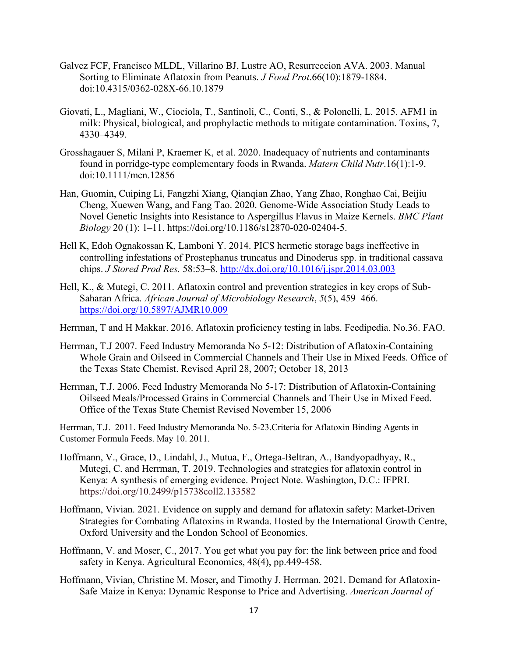- Galvez FCF, Francisco MLDL, Villarino BJ, Lustre AO, Resurreccion AVA. 2003. Manual Sorting to Eliminate Aflatoxin from Peanuts. *J Food Prot*.66(10):1879-1884. doi:10.4315/0362-028X-66.10.1879
- Giovati, L., Magliani, W., Ciociola, T., Santinoli, C., Conti, S., & Polonelli, L. 2015. AFM1 in milk: Physical, biological, and prophylactic methods to mitigate contamination. Toxins, 7, 4330–4349.
- Grosshagauer S, Milani P, Kraemer K, et al. 2020. Inadequacy of nutrients and contaminants found in porridge-type complementary foods in Rwanda. *Matern Child Nutr*.16(1):1-9. doi:10.1111/mcn.12856
- Han, Guomin, Cuiping Li, Fangzhi Xiang, Qianqian Zhao, Yang Zhao, Ronghao Cai, Beijiu Cheng, Xuewen Wang, and Fang Tao. 2020. Genome-Wide Association Study Leads to Novel Genetic Insights into Resistance to Aspergillus Flavus in Maize Kernels. *BMC Plant Biology* 20 (1): 1–11. https://doi.org/10.1186/s12870-020-02404-5.
- Hell K, Edoh Ognakossan K, Lamboni Y. 2014. PICS hermetic storage bags ineffective in controlling infestations of Prostephanus truncatus and Dinoderus spp. in traditional cassava chips. *J Stored Prod Res.* 58:53–8.<http://dx.doi.org/10.1016/j.jspr.2014.03.003>
- Hell, K., & Mutegi, C. 2011. Aflatoxin control and prevention strategies in key crops of Sub-Saharan Africa. *African Journal of Microbiology Research*, *5*(5), 459–466. <https://doi.org/10.5897/AJMR10.009>

Herrman, T and H Makkar. 2016. Aflatoxin proficiency testing in labs. Feedipedia. No.36. FAO.

- Herrman, T.J 2007. Feed Industry Memoranda No 5-12: Distribution of Aflatoxin-Containing Whole Grain and Oilseed in Commercial Channels and Their Use in Mixed Feeds. Office of the Texas State Chemist. Revised April 28, 2007; October 18, 2013
- Herrman, T.J. 2006. Feed Industry Memoranda No 5-17: Distribution of Aflatoxin-Containing Oilseed Meals/Processed Grains in Commercial Channels and Their Use in Mixed Feed. Office of the Texas State Chemist Revised November 15, 2006

Herrman, T.J. 2011. Feed Industry Memoranda No. 5-23.Criteria for Aflatoxin Binding Agents in Customer Formula Feeds. May 10. 2011.

- Hoffmann, V., Grace, D., Lindahl, J., Mutua, F., Ortega-Beltran, A., Bandyopadhyay, R., Mutegi, C. and Herrman, T. 2019. Technologies and strategies for aflatoxin control in Kenya: A synthesis of emerging evidence. Project Note. Washington, D.C.: IFPRI. <https://doi.org/10.2499/p15738coll2.133582>
- Hoffmann, Vivian. 2021. Evidence on supply and demand for aflatoxin safety: Market-Driven Strategies for Combating Aflatoxins in Rwanda. Hosted by the International Growth Centre, Oxford University and the London School of Economics.
- Hoffmann, V. and Moser, C., 2017. You get what you pay for: the link between price and food safety in Kenya. Agricultural Economics, 48(4), pp.449-458.
- Hoffmann, Vivian, Christine M. Moser, and Timothy J. Herrman. 2021. Demand for Aflatoxin-Safe Maize in Kenya: Dynamic Response to Price and Advertising. *American Journal of*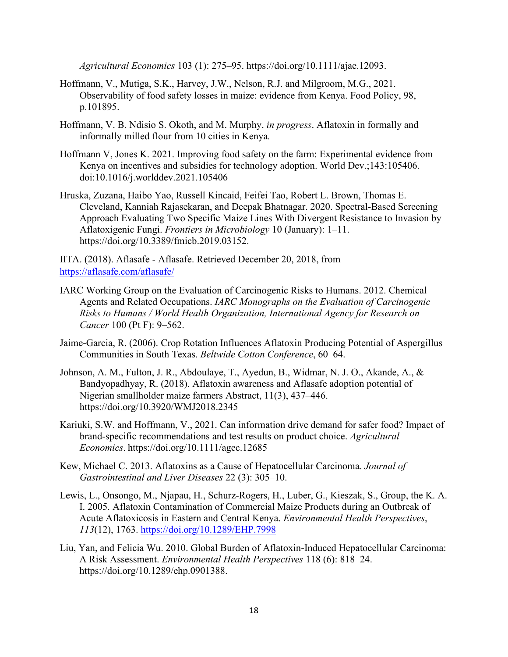*Agricultural Economics* 103 (1): 275–95. https://doi.org/10.1111/ajae.12093.

- Hoffmann, V., Mutiga, S.K., Harvey, J.W., Nelson, R.J. and Milgroom, M.G., 2021. Observability of food safety losses in maize: evidence from Kenya. Food Policy, 98, p.101895.
- Hoffmann, V. B. Ndisio S. Okoth, and M. Murphy. *in progress*. Aflatoxin in formally and informally milled flour from 10 cities in Kenya*.*
- Hoffmann V, Jones K. 2021. Improving food safety on the farm: Experimental evidence from Kenya on incentives and subsidies for technology adoption. World Dev.;143:105406. doi:10.1016/j.worlddev.2021.105406
- Hruska, Zuzana, Haibo Yao, Russell Kincaid, Feifei Tao, Robert L. Brown, Thomas E. Cleveland, Kanniah Rajasekaran, and Deepak Bhatnagar. 2020. Spectral-Based Screening Approach Evaluating Two Specific Maize Lines With Divergent Resistance to Invasion by Aflatoxigenic Fungi. *Frontiers in Microbiology* 10 (January): 1–11. https://doi.org/10.3389/fmicb.2019.03152.

IITA. (2018). Aflasafe - Aflasafe. Retrieved December 20, 2018, from <https://aflasafe.com/aflasafe/>

- IARC Working Group on the Evaluation of Carcinogenic Risks to Humans. 2012. Chemical Agents and Related Occupations. *IARC Monographs on the Evaluation of Carcinogenic Risks to Humans / World Health Organization, International Agency for Research on Cancer* 100 (Pt F): 9–562.
- Jaime-Garcia, R. (2006). Crop Rotation Influences Aflatoxin Producing Potential of Aspergillus Communities in South Texas. *Beltwide Cotton Conference*, 60–64.
- Johnson, A. M., Fulton, J. R., Abdoulaye, T., Ayedun, B., Widmar, N. J. O., Akande, A., & Bandyopadhyay, R. (2018). Aflatoxin awareness and Aflasafe adoption potential of Nigerian smallholder maize farmers Abstract, 11(3), 437–446. <https://doi.org/10.3920/WMJ2018.2345>
- Kariuki, S.W. and Hoffmann, V., 2021. Can information drive demand for safer food? Impact of brand‐specific recommendations and test results on product choice. *Agricultural Economics*. https://doi.org/10.1111/agec.12685
- Kew, Michael C. 2013. Aflatoxins as a Cause of Hepatocellular Carcinoma. *Journal of Gastrointestinal and Liver Diseases* 22 (3): 305–10.
- Lewis, L., Onsongo, M., Njapau, H., Schurz-Rogers, H., Luber, G., Kieszak, S., Group, the K. A. I. 2005. Aflatoxin Contamination of Commercial Maize Products during an Outbreak of Acute Aflatoxicosis in Eastern and Central Kenya. *Environmental Health Perspectives*, *113*(12), 1763.<https://doi.org/10.1289/EHP.7998>
- Liu, Yan, and Felicia Wu. 2010. Global Burden of Aflatoxin-Induced Hepatocellular Carcinoma: A Risk Assessment. *Environmental Health Perspectives* 118 (6): 818–24. https://doi.org/10.1289/ehp.0901388.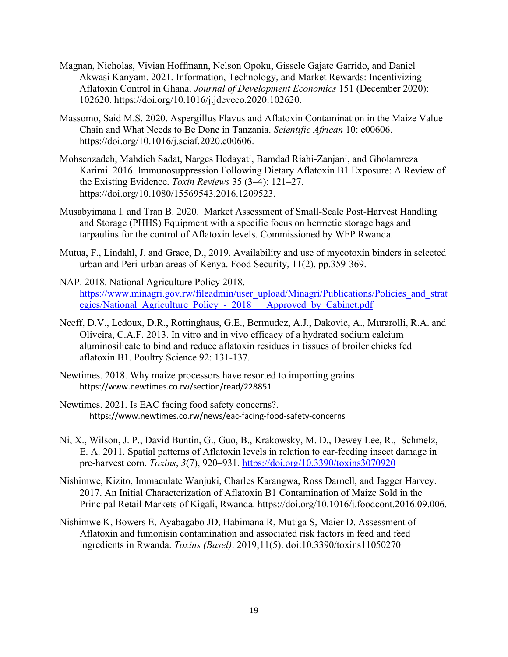- Magnan, Nicholas, Vivian Hoffmann, Nelson Opoku, Gissele Gajate Garrido, and Daniel Akwasi Kanyam. 2021. Information, Technology, and Market Rewards: Incentivizing Aflatoxin Control in Ghana. *Journal of Development Economics* 151 (December 2020): 102620. https://doi.org/10.1016/j.jdeveco.2020.102620.
- Massomo, Said M.S. 2020. Aspergillus Flavus and Aflatoxin Contamination in the Maize Value Chain and What Needs to Be Done in Tanzania. *Scientific African* 10: e00606. https://doi.org/10.1016/j.sciaf.2020.e00606.
- Mohsenzadeh, Mahdieh Sadat, Narges Hedayati, Bamdad Riahi-Zanjani, and Gholamreza Karimi. 2016. Immunosuppression Following Dietary Aflatoxin B1 Exposure: A Review of the Existing Evidence. *Toxin Reviews* 35 (3–4): 121–27. https://doi.org/10.1080/15569543.2016.1209523.
- Musabyimana I. and Tran B. 2020. Market Assessment of Small-Scale Post-Harvest Handling and Storage (PHHS) Equipment with a specific focus on hermetic storage bags and tarpaulins for the control of Aflatoxin levels. Commissioned by WFP Rwanda.
- Mutua, F., Lindahl, J. and Grace, D., 2019. Availability and use of mycotoxin binders in selected urban and Peri-urban areas of Kenya. Food Security, 11(2), pp.359-369.
- NAP. 2018. National Agriculture Policy 2018. [https://www.minagri.gov.rw/fileadmin/user\\_upload/Minagri/Publications/Policies\\_and\\_strat](https://www.minagri.gov.rw/fileadmin/user_upload/Minagri/Publications/Policies_and_strategies/National_Agriculture_Policy_-_2018___Approved_by_Cabinet.pdf) egies/National Agriculture Policy - 2018 Approved by Cabinet.pdf
- Neeff, D.V., Ledoux, D.R., Rottinghaus, G.E., Bermudez, A.J., Dakovic, A., Murarolli, R.A. and Oliveira, C.A.F. 2013. In vitro and in vivo efficacy of a hydrated sodium calcium aluminosilicate to bind and reduce aflatoxin residues in tissues of broiler chicks fed aflatoxin B1. Poultry Science 92: 131-137.
- Newtimes. 2018. Why maize processors have resorted to importing grains. https://www.newtimes.co.rw/section/read/228851
- Newtimes. 2021. Is EAC facing food safety concerns?. https://www.newtimes.co.rw/news/eac-facing-food-safety-concerns
- Ni, X., Wilson, J. P., David Buntin, G., Guo, B., Krakowsky, M. D., Dewey Lee, R., Schmelz, E. A. 2011. Spatial patterns of Aflatoxin levels in relation to ear-feeding insect damage in pre-harvest corn. *Toxins*, *3*(7), 920–931.<https://doi.org/10.3390/toxins3070920>
- Nishimwe, Kizito, Immaculate Wanjuki, Charles Karangwa, Ross Darnell, and Jagger Harvey. 2017. An Initial Characterization of Aflatoxin B1 Contamination of Maize Sold in the Principal Retail Markets of Kigali, Rwanda. https://doi.org/10.1016/j.foodcont.2016.09.006.
- Nishimwe K, Bowers E, Ayabagabo JD, Habimana R, Mutiga S, Maier D. Assessment of Aflatoxin and fumonisin contamination and associated risk factors in feed and feed ingredients in Rwanda. *Toxins (Basel)*. 2019;11(5). doi:10.3390/toxins11050270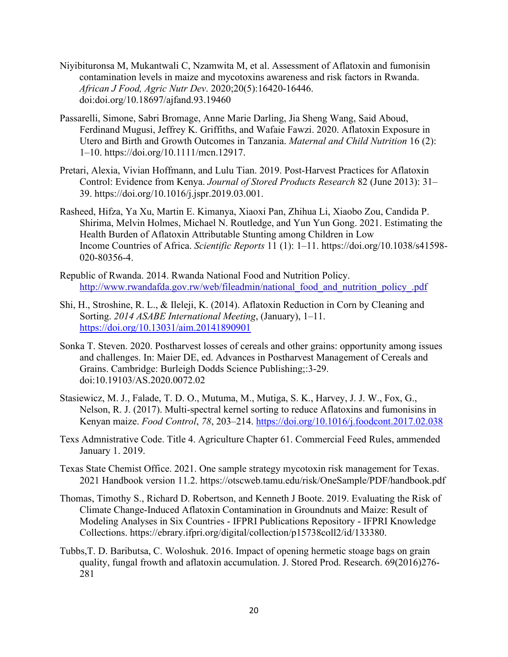- Niyibituronsa M, Mukantwali C, Nzamwita M, et al. Assessment of Aflatoxin and fumonisin contamination levels in maize and mycotoxins awareness and risk factors in Rwanda. *African J Food, Agric Nutr Dev*. 2020;20(5):16420-16446. doi:doi.org/10.18697/ajfand.93.19460
- Passarelli, Simone, Sabri Bromage, Anne Marie Darling, Jia Sheng Wang, Said Aboud, Ferdinand Mugusi, Jeffrey K. Griffiths, and Wafaie Fawzi. 2020. Aflatoxin Exposure in Utero and Birth and Growth Outcomes in Tanzania. *Maternal and Child Nutrition* 16 (2): 1–10. https://doi.org/10.1111/mcn.12917.
- Pretari, Alexia, Vivian Hoffmann, and Lulu Tian. 2019. Post-Harvest Practices for Aflatoxin Control: Evidence from Kenya. *Journal of Stored Products Research* 82 (June 2013): 31– 39. https://doi.org/10.1016/j.jspr.2019.03.001.
- Rasheed, Hifza, Ya Xu, Martin E. Kimanya, Xiaoxi Pan, Zhihua Li, Xiaobo Zou, Candida P. Shirima, Melvin Holmes, Michael N. Routledge, and Yun Yun Gong. 2021. Estimating the Health Burden of Aflatoxin Attributable Stunting among Children in Low Income Countries of Africa. *Scientific Reports* 11 (1): 1–11. https://doi.org/10.1038/s41598- 020-80356-4.
- Republic of Rwanda. 2014. Rwanda National Food and Nutrition Policy. [http://www.rwandafda.gov.rw/web/fileadmin/national\\_food\\_and\\_nutrition\\_policy\\_.pdf](http://www.rwandafda.gov.rw/web/fileadmin/national_food_and_nutrition_policy_.pdf)
- Shi, H., Stroshine, R. L., & Ileleji, K. (2014). Aflatoxin Reduction in Corn by Cleaning and Sorting. *2014 ASABE International Meeting*, (January), 1–11. <https://doi.org/10.13031/aim.20141890901>
- Sonka T. Steven. 2020. Postharvest losses of cereals and other grains: opportunity among issues and challenges. In: Maier DE, ed. Advances in Postharvest Management of Cereals and Grains. Cambridge: Burleigh Dodds Science Publishing;:3-29. doi:10.19103/AS.2020.0072.02
- Stasiewicz, M. J., Falade, T. D. O., Mutuma, M., Mutiga, S. K., Harvey, J. J. W., Fox, G., Nelson, R. J. (2017). Multi-spectral kernel sorting to reduce Aflatoxins and fumonisins in Kenyan maize. *Food Control*, *78*, 203–214.<https://doi.org/10.1016/j.foodcont.2017.02.038>
- Texs Admnistrative Code. Title 4. Agriculture Chapter 61. Commercial Feed Rules, ammended January 1. 2019.
- Texas State Chemist Office. 2021. One sample strategy mycotoxin risk management for Texas. 2021 Handbook version 11.2. https://otscweb.tamu.edu/risk/OneSample/PDF/handbook.pdf
- Thomas, Timothy S., Richard D. Robertson, and Kenneth J Boote. 2019. Evaluating the Risk of Climate Change-Induced Aflatoxin Contamination in Groundnuts and Maize: Result of Modeling Analyses in Six Countries - IFPRI Publications Repository - IFPRI Knowledge Collections. https://ebrary.ifpri.org/digital/collection/p15738coll2/id/133380.
- Tubbs,T. D. Baributsa, C. Woloshuk. 2016. Impact of opening hermetic stoage bags on grain quality, fungal frowth and aflatoxin accumulation. J. Stored Prod. Research. 69(2016)276- 281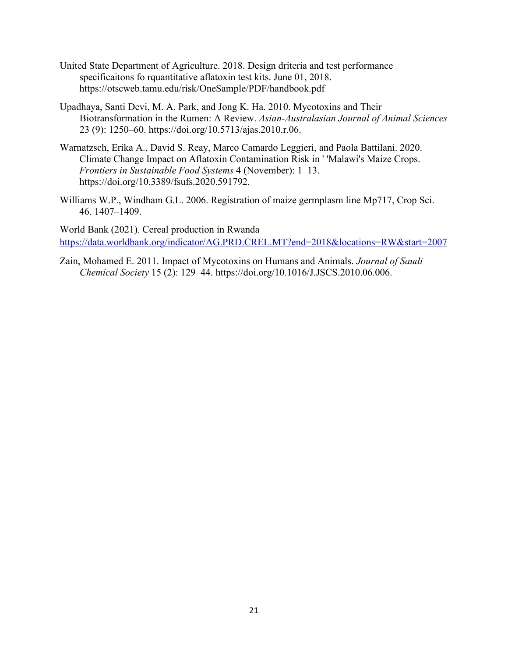- United State Department of Agriculture. 2018. Design driteria and test performance specificaitons fo rquantitative aflatoxin test kits. June 01, 2018. https://otscweb.tamu.edu/risk/OneSample/PDF/handbook.pdf
- Upadhaya, Santi Devi, M. A. Park, and Jong K. Ha. 2010. Mycotoxins and Their Biotransformation in the Rumen: A Review. *Asian-Australasian Journal of Animal Sciences* 23 (9): 1250–60. https://doi.org/10.5713/ajas.2010.r.06.
- Warnatzsch, Erika A., David S. Reay, Marco Camardo Leggieri, and Paola Battilani. 2020. Climate Change Impact on Aflatoxin Contamination Risk in ' 'Malawi's Maize Crops. *Frontiers in Sustainable Food Systems* 4 (November): 1–13. https://doi.org/10.3389/fsufs.2020.591792.
- Williams W.P., Windham G.L. 2006. Registration of maize germplasm line Mp717, Crop Sci. 46. 1407–1409.

World Bank (2021). Cereal production in Rwanda <https://data.worldbank.org/indicator/AG.PRD.CREL.MT?end=2018&locations=RW&start=2007>

Zain, Mohamed E. 2011. Impact of Mycotoxins on Humans and Animals. *Journal of Saudi Chemical Society* 15 (2): 129–44. https://doi.org/10.1016/J.JSCS.2010.06.006.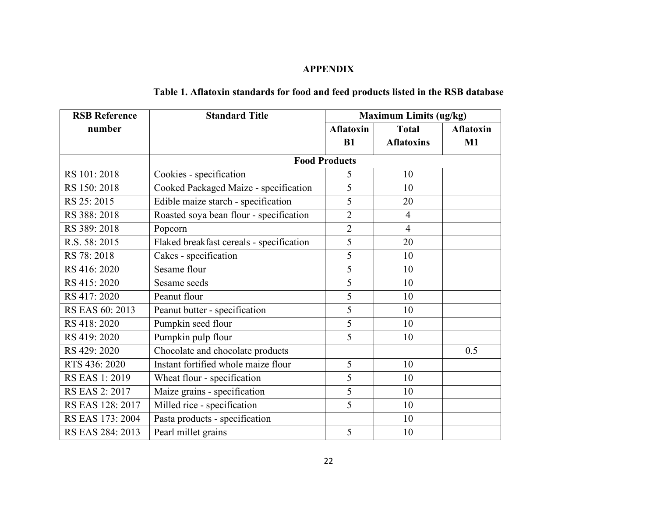# **APPENDIX**

| <b>RSB Reference</b>  | <b>Standard Title</b>                    | <b>Maximum Limits (ug/kg)</b> |                   |                  |  |
|-----------------------|------------------------------------------|-------------------------------|-------------------|------------------|--|
| number                |                                          | <b>Aflatoxin</b>              | <b>Total</b>      | <b>Aflatoxin</b> |  |
|                       |                                          | B1                            | <b>Aflatoxins</b> | M1               |  |
|                       | <b>Food Products</b>                     |                               |                   |                  |  |
| RS 101:2018           | Cookies - specification                  | 5                             | 10                |                  |  |
| RS 150: 2018          | Cooked Packaged Maize - specification    | 5                             | 10                |                  |  |
| RS 25:2015            | Edible maize starch - specification      | 5                             | 20                |                  |  |
| RS 388: 2018          | Roasted soya bean flour - specification  | $\overline{2}$                | $\overline{4}$    |                  |  |
| RS 389: 2018          | Popcorn                                  | $\overline{2}$                | $\overline{4}$    |                  |  |
| R.S. 58: 2015         | Flaked breakfast cereals - specification | 5                             | 20                |                  |  |
| RS 78:2018            | Cakes - specification                    | 5                             | 10                |                  |  |
| RS 416: 2020          | Sesame flour                             | 5                             | 10                |                  |  |
| RS 415: 2020          | Sesame seeds                             | 5                             | 10                |                  |  |
| RS 417: 2020          | Peanut flour                             | 5                             | 10                |                  |  |
| RS EAS 60: 2013       | Peanut butter - specification            | 5                             | 10                |                  |  |
| RS 418: 2020          | Pumpkin seed flour                       | 5                             | 10                |                  |  |
| RS 419: 2020          | Pumpkin pulp flour                       | 5                             | 10                |                  |  |
| RS 429: 2020          | Chocolate and chocolate products         |                               |                   | 0.5              |  |
| RTS 436: 2020         | Instant fortified whole maize flour      | 5                             | 10                |                  |  |
| <b>RS EAS 1: 2019</b> | Wheat flour - specification              | 5                             | 10                |                  |  |
| <b>RS EAS 2: 2017</b> | Maize grains - specification             | 5                             | 10                |                  |  |
| RS EAS 128: 2017      | Milled rice - specification              | 5                             | 10                |                  |  |
| RS EAS 173: 2004      | Pasta products - specification           |                               | 10                |                  |  |
| RS EAS 284: 2013      | Pearl millet grains                      | 5                             | 10                |                  |  |

# **Table 1. Aflatoxin standards for food and feed products listed in the RSB database**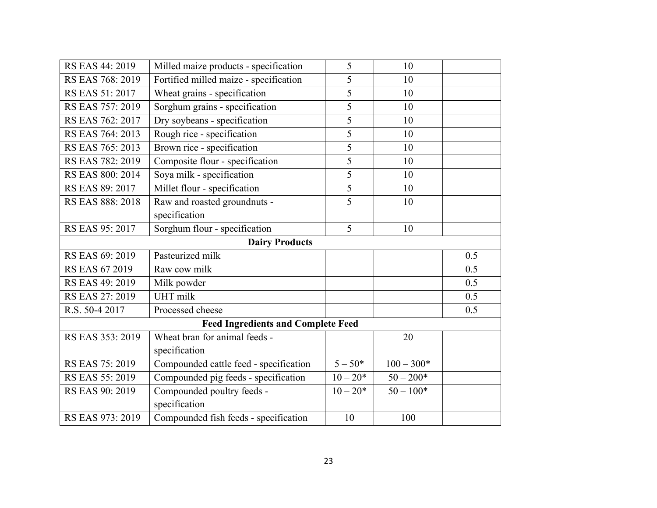| RS EAS 44: 2019                           | Milled maize products - specification  | 5          | 10           |     |  |  |
|-------------------------------------------|----------------------------------------|------------|--------------|-----|--|--|
| RS EAS 768: 2019                          | Fortified milled maize - specification | 5          | 10           |     |  |  |
| RS EAS 51: 2017                           | Wheat grains - specification           | 5          | 10           |     |  |  |
| RS EAS 757: 2019                          | Sorghum grains - specification         | 5          | 10           |     |  |  |
| RS EAS 762: 2017                          | Dry soybeans - specification           | 5          | 10           |     |  |  |
| RS EAS 764: 2013                          | Rough rice - specification             | 5          | 10           |     |  |  |
| RS EAS 765: 2013                          | Brown rice - specification             | 5          | 10           |     |  |  |
| RS EAS 782: 2019                          | Composite flour - specification        | 5          | 10           |     |  |  |
| RS EAS 800: 2014                          | Soya milk - specification              | 5          | 10           |     |  |  |
| RS EAS 89: 2017                           | Millet flour - specification           | 5          | 10           |     |  |  |
| RS EAS 888: 2018                          | Raw and roasted groundnuts -           | 5          | 10           |     |  |  |
|                                           | specification                          |            |              |     |  |  |
| RS EAS 95: 2017                           | Sorghum flour - specification          | 5          | 10           |     |  |  |
| <b>Dairy Products</b>                     |                                        |            |              |     |  |  |
| RS EAS 69: 2019                           | Pasteurized milk                       |            |              | 0.5 |  |  |
| <b>RS EAS 67 2019</b>                     | Raw cow milk                           |            |              | 0.5 |  |  |
| RS EAS 49: 2019                           | Milk powder                            |            |              | 0.5 |  |  |
| RS EAS 27: 2019                           | UHT milk                               |            |              | 0.5 |  |  |
| R.S. 50-4 2017                            | Processed cheese                       |            |              | 0.5 |  |  |
| <b>Feed Ingredients and Complete Feed</b> |                                        |            |              |     |  |  |
| RS EAS 353: 2019                          | Wheat bran for animal feeds -          |            | 20           |     |  |  |
|                                           | specification                          |            |              |     |  |  |
| RS EAS 75: 2019                           | Compounded cattle feed - specification | $5 - 50*$  | $100 - 300*$ |     |  |  |
| RS EAS 55: 2019                           | Compounded pig feeds - specification   | $10 - 20*$ | $50 - 200*$  |     |  |  |
| RS EAS 90: 2019                           | Compounded poultry feeds -             | $10 - 20*$ | $50 - 100*$  |     |  |  |
|                                           | specification                          |            |              |     |  |  |
| RS EAS 973: 2019                          | Compounded fish feeds - specification  | 10         | 100          |     |  |  |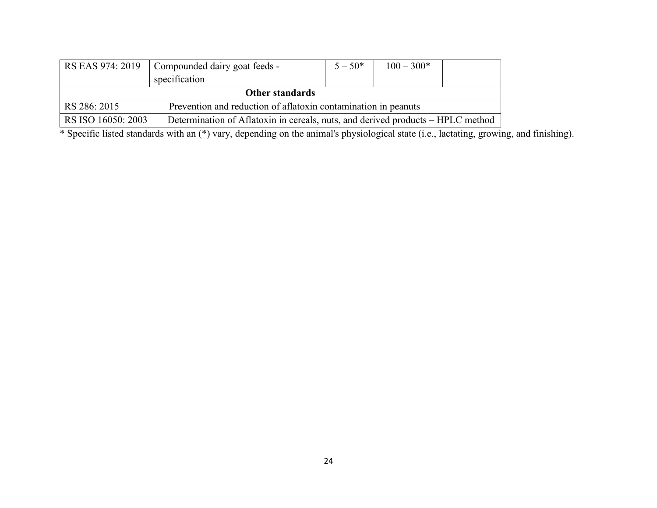| RS EAS 974: 2019                                                               | Compounded dairy goat feeds -<br>specification                                  | $5 - 50*$ | $100 - 300*$ |  |  |  |
|--------------------------------------------------------------------------------|---------------------------------------------------------------------------------|-----------|--------------|--|--|--|
| <b>Other standards</b>                                                         |                                                                                 |           |              |  |  |  |
| Prevention and reduction of aflatoxin contamination in peanuts<br>RS 286: 2015 |                                                                                 |           |              |  |  |  |
| RS ISO 16050: 2003                                                             | Determination of Aflatoxin in cereals, nuts, and derived products – HPLC method |           |              |  |  |  |

\* Specific listed standards with an (\*) vary, depending on the animal's physiological state (i.e., lactating, growing, and finishing).